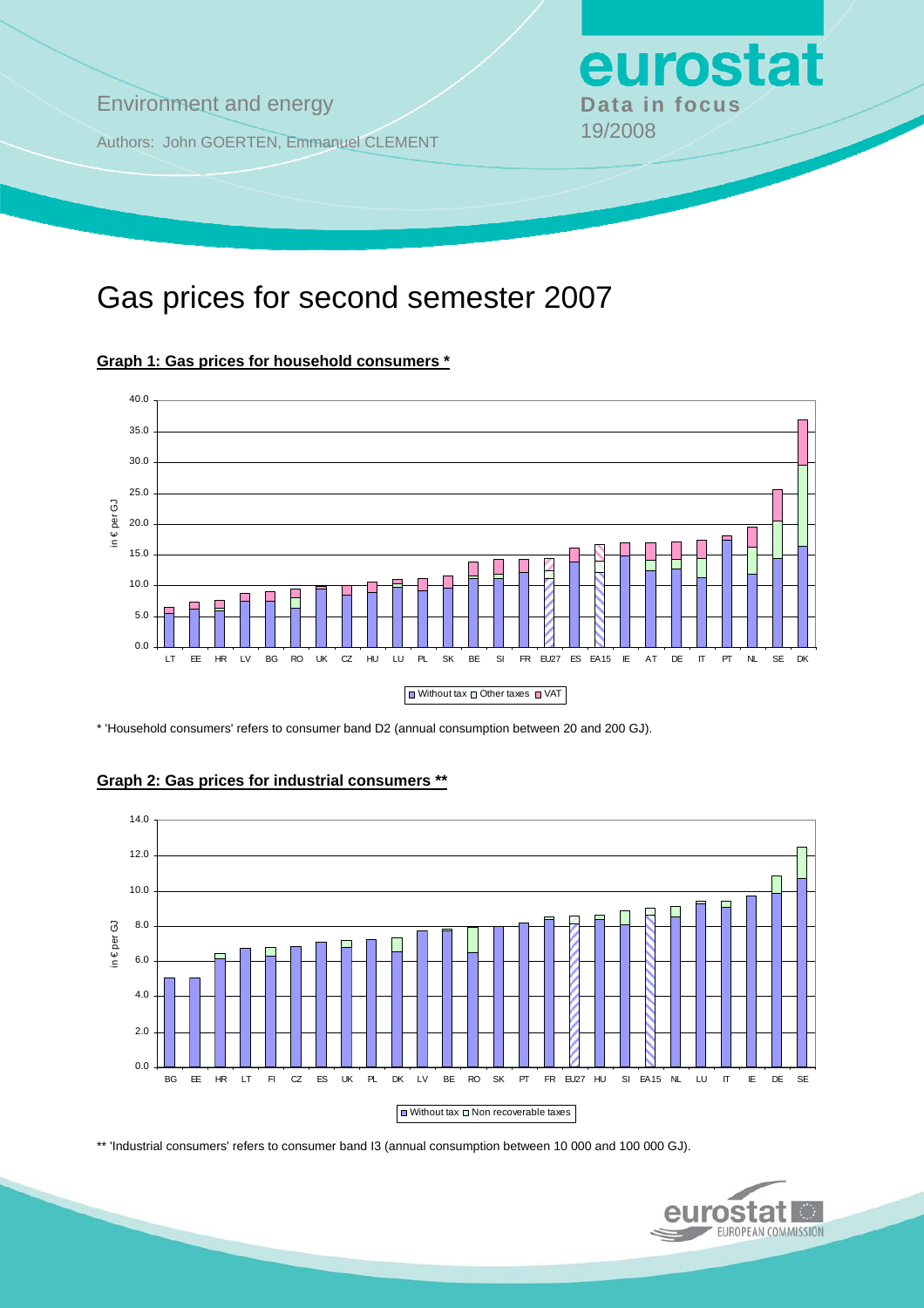**Environment and energy by Data in focus** 

Authors: John GOERTEN, Emmanuel CLEMENT 19/2008

# Gas prices for second semester 2007



**Graph 1: Gas prices for household consumers \***

\* 'Household consumers' refers to consumer band D2 (annual consumption between 20 and 200 GJ).



### **Graph 2: Gas prices for industrial consumers \*\***

\*\* 'Industrial consumers' refers to consumer band I3 (annual consumption between 10 000 and 100 000 GJ).



eurostat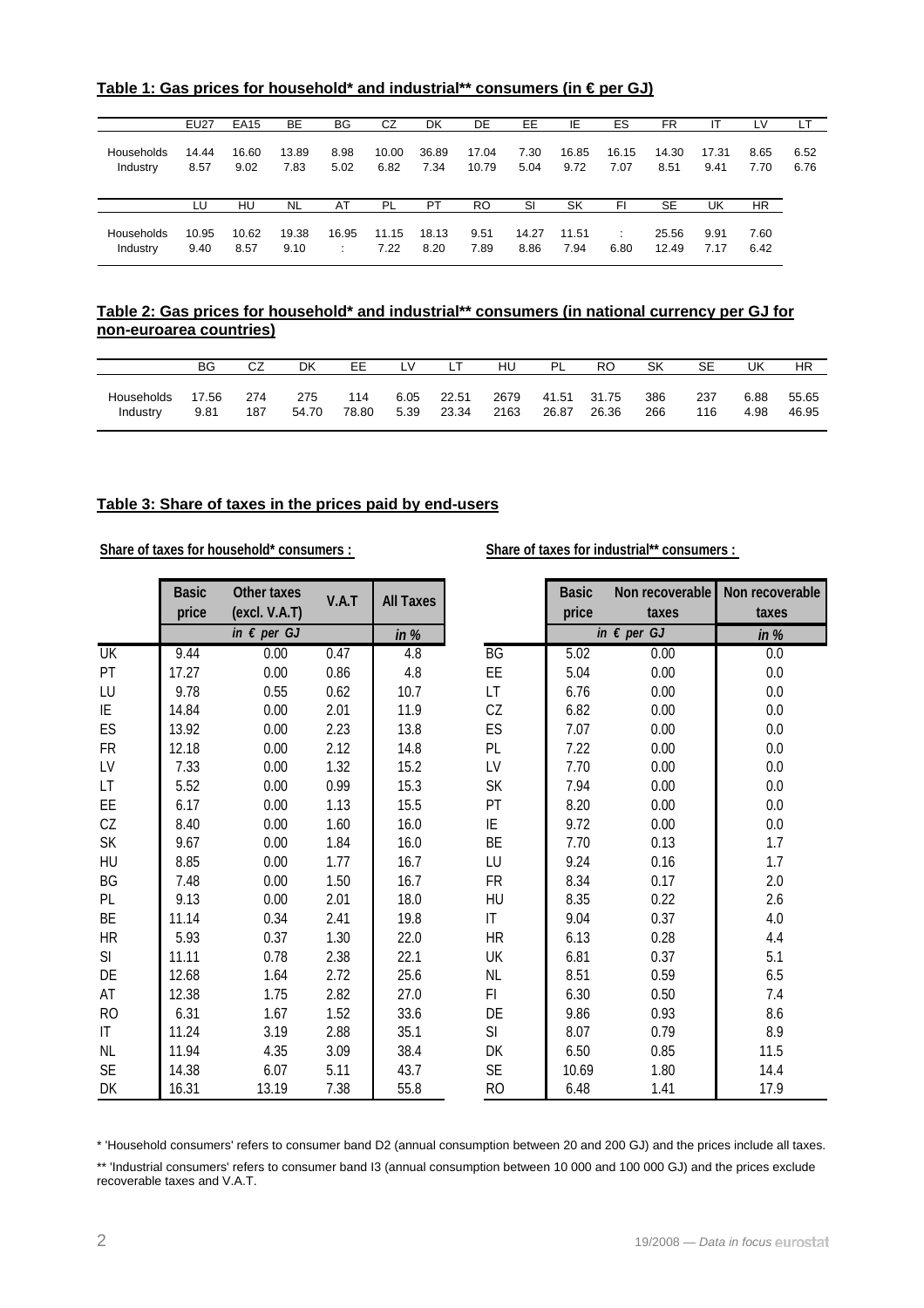|                   | EU27  | <b>EA15</b> | BE        | <b>BG</b> | CZ        | DK        | DE        | EE.   | IE    | ES    | FR        | ΙT    | LV   | LТ   |
|-------------------|-------|-------------|-----------|-----------|-----------|-----------|-----------|-------|-------|-------|-----------|-------|------|------|
| <b>Households</b> | 14.44 | 16.60       | 13.89     | 8.98      | 10.00     | 36.89     | 17.04     | 7.30  | 16.85 | 16.15 | 14.30     | 17.31 | 8.65 | 6.52 |
| Industry          | 8.57  | 9.02        | 7.83      | 5.02      | 6.82      | 7.34      | 10.79     | 5.04  | 9.72  | 7.07  | 8.51      | 9.41  | 7.70 | 6.76 |
|                   | LU    | HU          | <b>NL</b> | AT        | <b>PL</b> | <b>PT</b> | <b>RO</b> | SI    | SK    | FI    | <b>SE</b> | UK    | HR.  |      |
| <b>Households</b> | 10.95 | 10.62       | 19.38     | 16.95     | 11.15     | 18.13     | 9.51      | 14.27 | 11.51 | ÷     | 25.56     | 9.91  | 7.60 |      |
| Industry          | 9.40  | 8.57        | 9.10      | ÷         | 7.22      | 8.20      | 7.89      | 8.86  | 7.94  | 6.80  | 12.49     | 7.17  | 6.42 |      |

**Table 1: Gas prices for household\* and industrial\*\* consumers (in € per GJ)**

### **Table 2: Gas prices for household\* and industrial\*\* consumers (in national currency per GJ for non-euroarea countries)**

|            | BG    | r 7<br>◡∠ | DK    | EЕ    | $\vee$ |       | HU   | ΡI    | RC    | SK  | SE  | UK   | ΗR    |
|------------|-------|-----------|-------|-------|--------|-------|------|-------|-------|-----|-----|------|-------|
| Households | 17.56 | 274       | 275   | 114   | 6.05   | 22.51 | 2679 | 41.51 | 31.75 | 386 | 237 | 6.88 | 55.65 |
| Industry   | 9.81  | 187       | 54.70 | 78.80 | 5.39   | 23.34 | 2163 | 26.87 | 26.36 | 266 | 116 | 4.98 | 46.95 |

### **Table 3: Share of taxes in the prices paid by end-users**

Share of taxes for household\* consumers : Share of taxes for industrial\*\* consumers :

|           | <b>Basic</b><br>price | <b>Other taxes</b><br>(excl. V.A.T) | V.A.T | <b>All Taxes</b> |           | <b>Basic</b><br>price | Non recoverable<br>taxes | Non recoverable<br>taxes |
|-----------|-----------------------|-------------------------------------|-------|------------------|-----------|-----------------------|--------------------------|--------------------------|
|           |                       | in $\epsilon$ per GJ                |       | in $%$           |           |                       | in $\epsilon$ per GJ     | in $%$                   |
| UK        | 9.44                  | 0.00                                | 0.47  | 4.8              | BG        | 5.02                  | 0.00                     | 0.0                      |
| PT        | 17.27                 | 0.00                                | 0.86  | 4.8              | EE        | 5.04                  | 0.00                     | $0.0\,$                  |
| LU        | 9.78                  | 0.55                                | 0.62  | 10.7             | LT        | 6.76                  | 0.00                     | 0.0                      |
| ΙE        | 14.84                 | 0.00                                | 2.01  | 11.9             | CZ        | 6.82                  | 0.00                     | 0.0                      |
| ES        | 13.92                 | 0.00                                | 2.23  | 13.8             | ES        | 7.07                  | 0.00                     | 0.0                      |
| <b>FR</b> | 12.18                 | 0.00                                | 2.12  | 14.8             | PL        | 7.22                  | 0.00                     | 0.0                      |
| LV        | 7.33                  | 0.00                                | 1.32  | 15.2             | LV        | 7.70                  | 0.00                     | 0.0                      |
| LT.       | 5.52                  | 0.00                                | 0.99  | 15.3             | SK        | 7.94                  | 0.00                     | 0.0                      |
| EE        | 6.17                  | 0.00                                | 1.13  | 15.5             | PT        | 8.20                  | 0.00                     | 0.0                      |
| CZ        | 8.40                  | 0.00                                | 1.60  | 16.0             | ΙE        | 9.72                  | 0.00                     | $0.0\,$                  |
| SK        | 9.67                  | 0.00                                | 1.84  | 16.0             | BE        | 7.70                  | 0.13                     | 1.7                      |
| HU        | 8.85                  | 0.00                                | 1.77  | 16.7             | LU        | 9.24                  | 0.16                     | 1.7                      |
| BG        | 7.48                  | 0.00                                | 1.50  | 16.7             | <b>FR</b> | 8.34                  | 0.17                     | 2.0                      |
| PL        | 9.13                  | 0.00                                | 2.01  | 18.0             | HU        | 8.35                  | 0.22                     | 2.6                      |
| BE        | 11.14                 | 0.34                                | 2.41  | 19.8             | IT        | 9.04                  | 0.37                     | 4.0                      |
| <b>HR</b> | 5.93                  | 0.37                                | 1.30  | 22.0             | <b>HR</b> | 6.13                  | 0.28                     | 4.4                      |
| SI        | 11.11                 | 0.78                                | 2.38  | 22.1             | UK        | 6.81                  | 0.37                     | 5.1                      |
| DE        | 12.68                 | 1.64                                | 2.72  | 25.6             | <b>NL</b> | 8.51                  | 0.59                     | 6.5                      |
| AT        | 12.38                 | 1.75                                | 2.82  | 27.0             | FI.       | 6.30                  | 0.50                     | 7.4                      |
| <b>RO</b> | 6.31                  | 1.67                                | 1.52  | 33.6             | DE        | 9.86                  | 0.93                     | $8.6\,$                  |
| IT.       | 11.24                 | 3.19                                | 2.88  | 35.1             | SI.       | 8.07                  | 0.79                     | 8.9                      |
| NL        | 11.94                 | 4.35                                | 3.09  | 38.4             | DK        | 6.50                  | 0.85                     | 11.5                     |
| <b>SE</b> | 14.38                 | 6.07                                | 5.11  | 43.7             | <b>SE</b> | 10.69                 | 1.80                     | 14.4                     |
| DK        | 16.31                 | 13.19                               | 7.38  | 55.8             | RO        | 6.48                  | 1.41                     | 17.9                     |

\* 'Household consumers' refers to consumer band D2 (annual consumption between 20 and 200 GJ) and the prices include all taxes.

\*\* 'Industrial consumers' refers to consumer band I3 (annual consumption between 10 000 and 100 000 GJ) and the prices exclude recoverable taxes and V.A.T.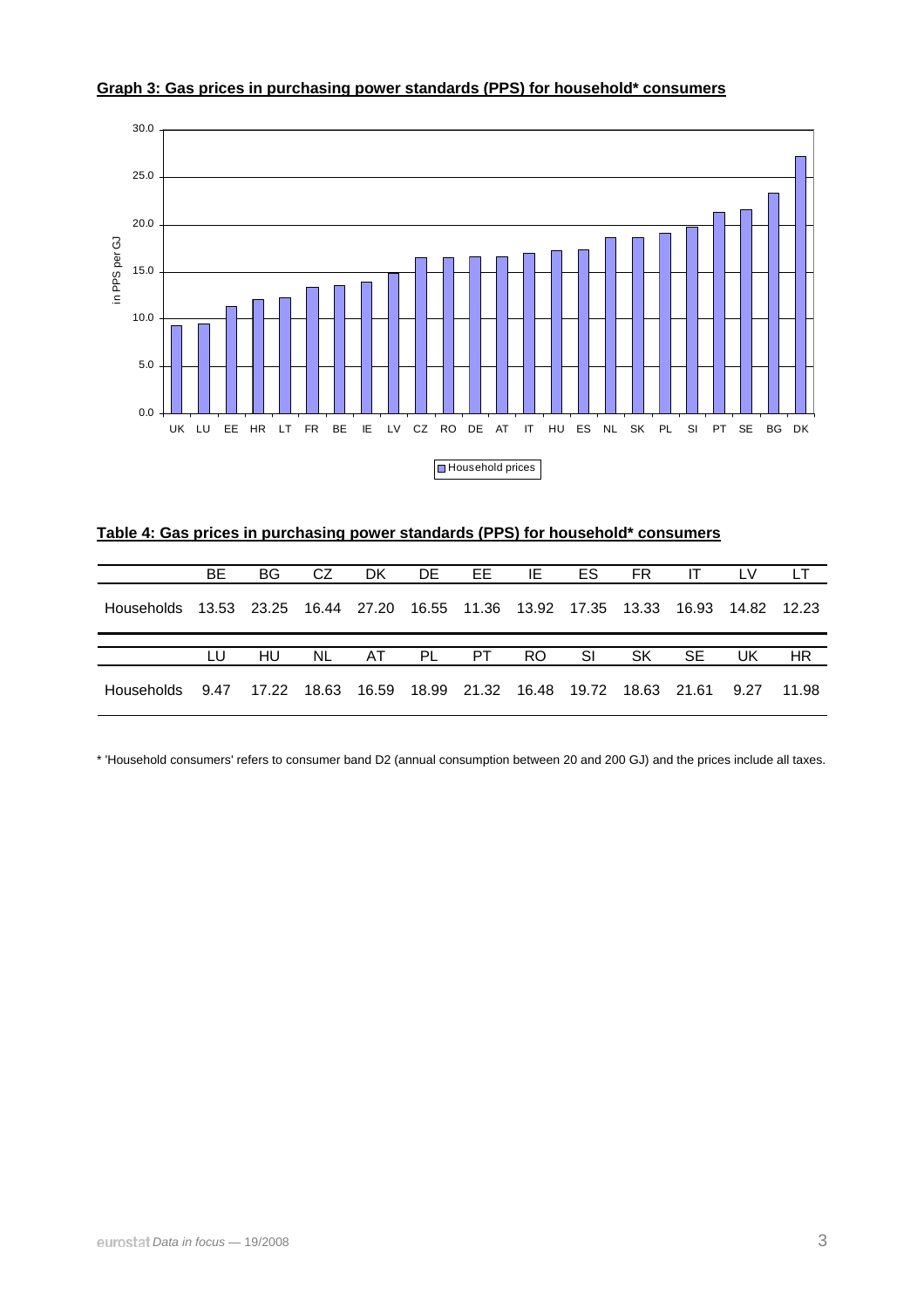

### **Graph 3: Gas prices in purchasing power standards (PPS) for household\* consumers**

| Table 4: Gas prices in purchasing power standards (PPS) for household* consumers |
|----------------------------------------------------------------------------------|
|----------------------------------------------------------------------------------|

|                   | <b>BE</b> | BG.                                                                     | CZ. | DK. | DE EE                                                                      | IE | ES | FR. | IT. | LV. | LT.       |
|-------------------|-----------|-------------------------------------------------------------------------|-----|-----|----------------------------------------------------------------------------|----|----|-----|-----|-----|-----------|
| Households        |           | 13.53 23.25 16.44 27.20 16.55 11.36 13.92 17.35 13.33 16.93 14.82 12.23 |     |     |                                                                            |    |    |     |     |     |           |
|                   |           |                                                                         |     |     |                                                                            |    |    |     |     |     |           |
|                   | LU.       | HU                                                                      |     |     | NL AT PL PT RO SI                                                          |    |    | SK  | -SE | UK. | <b>HR</b> |
| <b>Households</b> | 9.47      |                                                                         |     |     | 17.22  18.63  16.59  18.99  21.32  16.48  19.72  18.63  21.61  9.27  11.98 |    |    |     |     |     |           |

\* 'Household consumers' refers to consumer band D2 (annual consumption between 20 and 200 GJ) and the prices include all taxes.